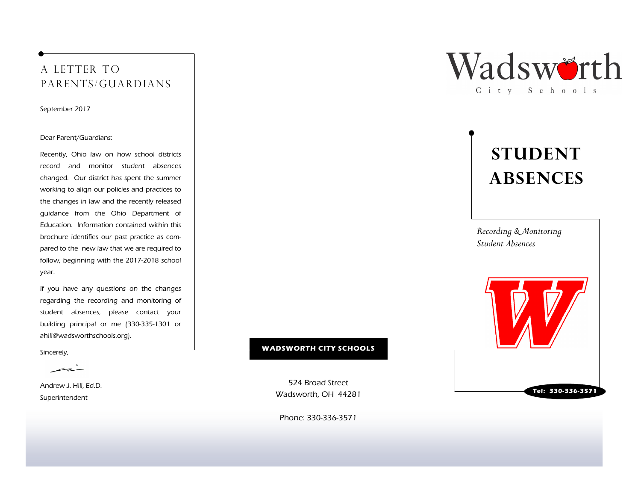## A LETTER TO parents/guardians

September 2017

#### Dear Parent/Guardians:

Recently, Ohio law on how school districts record and monitor student absences changed. Our district has spent the summer working to align our policies and practices to the changes in law and the recently released guidance from the Ohio Department of Education. Information contained within this brochure identifies our past practice as compared to the new law that we are required to follow, beginning with the 2017-2018 school year.

If you have any questions on the changes regarding the recording and monitoring of student absences, please contact your building principal or me (330-335-1301 or ahill@wadsworthschools.org).

Sincerely,

 $\overline{\phantom{a}}$ 

Andrew J. Hill, Ed.D. Superintendent



# STUDENT **ABSENCES**

Recording & Monitoring Student Absences

WADSWORTH CITY SCHOOLS

524 Broad Street Wadsworth, OH 44281

Tel: 330-336-3571

Phone: 330-336-3571